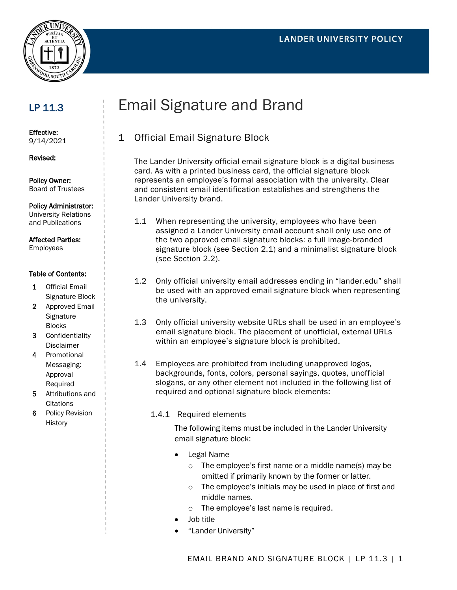



# LP 11.3

Effective: 9/14/2021

Revised:

Policy Owner: Board of Trustees

Policy Administrator: University Relations and Publications

Affected Parties:

Employees

#### Table of Contents:

- 1 Official Email Signature Block
- 2 Approved Email **Signature** Blocks
- 3 Confidentiality Disclaimer
- 4 Promotional Messaging: Approval Required
- 5 Attributions and **Citations**
- 6 Policy Revision **History**

# Email Signature and Brand

# 1 Official Email Signature Block

The Lander University official email signature block is a digital business card. As with a printed business card, the official signature block represents an employee's formal association with the university. Clear and consistent email identification establishes and strengthens the Lander University brand.

- 1.1 When representing the university, employees who have been assigned a Lander University email account shall only use one of the two approved email signature blocks: a full image-branded signature block (see Section 2.1) and a minimalist signature block (see Section 2.2).
- 1.2 Only official university email addresses ending in "lander.edu" shall be used with an approved email signature block when representing the university.
- 1.3 Only official university website URLs shall be used in an employee's email signature block. The placement of unofficial, external URLs within an employee's signature block is prohibited.
- 1.4 Employees are prohibited from including unapproved logos, backgrounds, fonts, colors, personal sayings, quotes, unofficial slogans, or any other element not included in the following list of required and optional signature block elements:
	- 1.4.1 Required elements

The following items must be included in the Lander University email signature block:

- Legal Name
	- o The employee's first name or a middle name(s) may be omitted if primarily known by the former or latter.
	- o The employee's initials may be used in place of first and middle names.
	- o The employee's last name is required.
- Job title
- "Lander University"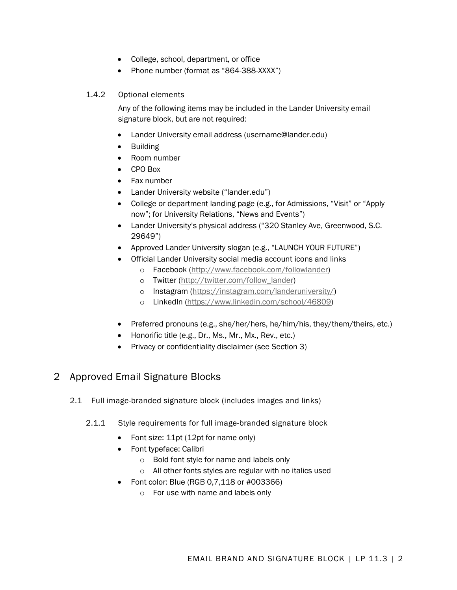- College, school, department, or office
- Phone number (format as "864-388-XXXX")

#### 1.4.2 Optional elements

Any of the following items may be included in the Lander University email signature block, but are not required:

- Lander University email address (username@lander.edu)
- Building
- Room number
- CPO Box
- Fax number
- Lander University website ("lander.edu")
- College or department landing page (e.g., for Admissions, "Visit" or "Apply now"; for University Relations, "News and Events")
- Lander University's physical address ("320 Stanley Ave, Greenwood, S.C. 29649")
- Approved Lander University slogan (e.g., "LAUNCH YOUR FUTURE")
- Official Lander University social media account icons and links
	- o Facebook [\(http://www.facebook.com/followlander\)](http://www.facebook.com/followlander)
	- o Twitter [\(http://twitter.com/follow\\_lander\)](http://twitter.com/follow_lander)
	- o Instagram [\(https://instagram.com/landeruniversity/\)](https://instagram.com/landeruniversity/)
	- o LinkedIn [\(https://www.linkedin.com/school/46809\)](https://www.linkedin.com/school/46809)
- Preferred pronouns (e.g., she/her/hers, he/him/his, they/them/theirs, etc.)
- Honorific title (e.g., Dr., Ms., Mr., Mx., Rev., etc.)
- Privacy or confidentiality disclaimer (see Section 3)

## 2 Approved Email Signature Blocks

- 2.1 Full image-branded signature block (includes images and links)
	- 2.1.1 Style requirements for full image-branded signature block
		- Font size: 11pt (12pt for name only)
		- Font typeface: Calibri
			- o Bold font style for name and labels only
			- o All other fonts styles are regular with no italics used
		- Font color: Blue (RGB 0,7,118 or #003366)
			- o For use with name and labels only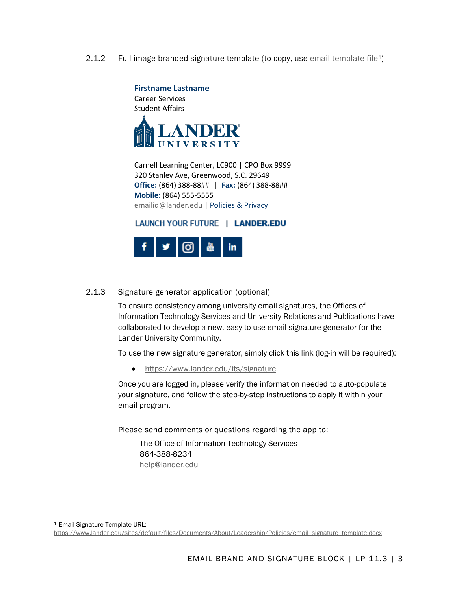2.1.2 Full image-branded signature template (to copy, use [email template file](https://www.lander.edu/sites/default/files/Documents/About/Leadership/Policies/email_signature_template.docx)[1](#page-2-0))



Carnell Learning Center, LC900 | CPO Box 9999 320 Stanley Ave, Greenwood, S.C. 29649 **Office:** (864) 388-88## | **Fax:** (864) 388-88## **Mobile:** (864) 555-5555 [emailid@lander.edu](mailto:emailid@lander.edu) | [Policies & Privacy](https://www.lander.edu/about/information-technology-services/policies)

#### LAUNCH YOUR FUTURE | LANDER.EDU



#### 2.1.3 Signature generator application (optional)

To ensure consistency among university email signatures, the Offices of Information Technology Services and University Relations and Publications have collaborated to develop a new, easy-to-use email signature generator for the Lander University Community.

To use the new signature generator, simply click this link (log-in will be required):

• <https://www.lander.edu/its/signature>

Once you are logged in, please verify the information needed to auto-populate your signature, and follow the step-by-step instructions to apply it within your email program.

Please send comments or questions regarding the app to:

The Office of Information Technology Services 864-388-8234 [help@lander.edu](mailto:help@lander.edu)

<span id="page-2-0"></span><sup>1</sup> Email Signature Template URL:

[https://www.lander.edu/sites/default/files/Documents/About/Leadership/Policies/email\\_signature\\_template.docx](https://www.lander.edu/sites/default/files/Documents/About/Leadership/Policies/email_signature_template.docx)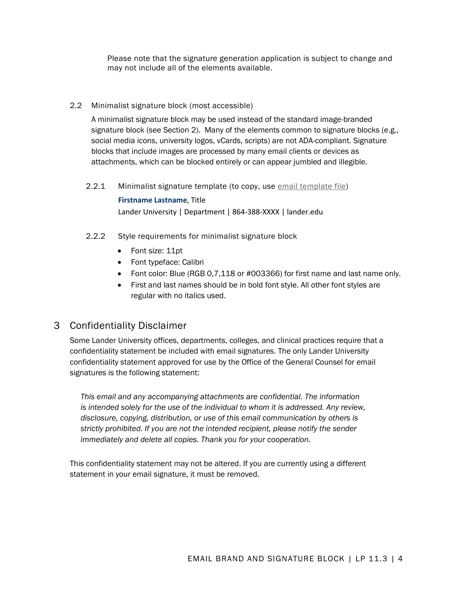Please note that the signature generation application is subject to change and may not include all of the elements available.

#### 2.2 Minimalist signature block (most accessible)

A minimalist signature block may be used instead of the standard image-branded signature block (see Section 2). Many of the elements common to signature blocks (e.g., social media icons, university logos, vCards, scripts) are not ADA-compliant. Signature blocks that include images are processed by many email clients or devices as attachments, which can be blocked entirely or can appear jumbled and illegible.

2.2.1 Minimalist signature template (to copy, use [email template file\)](https://www.lander.edu/sites/default/files/Documents/About/Leadership/Policies/email_signature_template.docx)

**Firstname Lastname**, Title Lander University | Department | 864-388-XXXX | lander.edu

- 2.2.2 Style requirements for minimalist signature block
	- Font size: 11pt
	- Font typeface: Calibri
	- Font color: Blue (RGB 0,7,118 or #003366) for first name and last name only.
	- First and last names should be in bold font style. All other font styles are regular with no italics used.

### 3 Confidentiality Disclaimer

Some Lander University offices, departments, colleges, and clinical practices require that a confidentiality statement be included with email signatures. The only Lander University confidentiality statement approved for use by the Office of the General Counsel for email signatures is the following statement:

*This email and any accompanying attachments are confidential. The information is intended solely for the use of the individual to whom it is addressed. Any review, disclosure, copying, distribution, or use of this email communication by others is strictly prohibited. If you are not the intended recipient, please notify the sender immediately and delete all copies. Thank you for your cooperation.*

This confidentiality statement may not be altered. If you are currently using a different statement in your email signature, it must be removed.